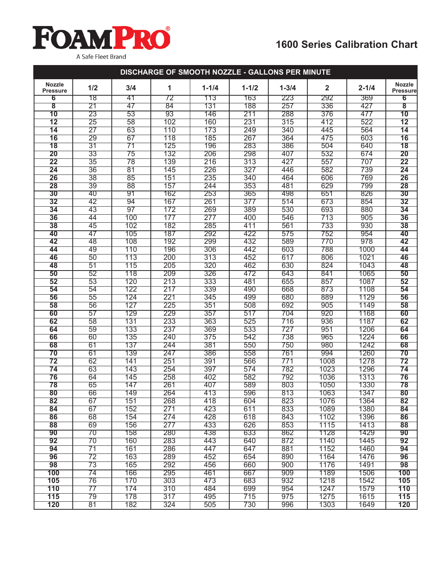# **FOAMPRO** A Safe Fleet Brand

### **1600 Series Calibration Chart**

| DISCHARGE OF SMOOTH NOZZLE - GALLONS PER MINUTE                                                                            |                                  |  |
|----------------------------------------------------------------------------------------------------------------------------|----------------------------------|--|
| <b>Nozzle</b><br>1/2<br>3/4<br>$1 - 1/2$<br>$\mathbf{2}$<br>1<br>$1 - 1/4$<br>$1 - 3/4$<br>$2 - 1/4$<br><b>Pressure</b>    | <b>Nozzle</b><br><b>Pressure</b> |  |
| 78<br>292<br>6<br>41<br>72<br>113<br>163<br>223<br>369                                                                     | 6                                |  |
| 257<br>$\overline{\mathbf{8}}$<br>$\overline{21}$<br>47<br>84<br>131<br>188<br>336<br>427                                  | $\overline{\mathbf{8}}$          |  |
| 10<br>23<br>53<br>93<br>146<br>211<br>288<br>376<br>477                                                                    | 10                               |  |
| $\overline{12}$<br>$\overline{58}$<br>160<br>231<br>315<br>522<br>$\overline{25}$<br>102<br>412                            | $\overline{12}$                  |  |
| $\overline{27}$<br>$\overline{14}$<br>63<br>110<br>173<br>249<br>340<br>445<br>564                                         | $\overline{14}$                  |  |
| 16<br>29<br>67<br>185<br>267<br>364<br>475<br>603<br>118                                                                   | 16                               |  |
| $\overline{18}$<br>$\overline{31}$<br>$\overline{71}$<br>125<br>196<br>283<br>386<br>504<br>640                            | $\overline{18}$                  |  |
| 20<br>33<br>132<br>206<br>298<br>407<br>532<br>674<br>75                                                                   | 20                               |  |
| 22<br>35<br>216<br>313<br>427<br>557<br>78<br>139<br>707                                                                   | $\overline{22}$                  |  |
| $\overline{36}$<br>$\overline{81}$<br>582<br>739<br>$\overline{24}$<br>145<br>226<br>327<br>446                            | $\overline{24}$                  |  |
| 26<br>$\overline{38}$<br>85<br>151<br>235<br>340<br>464<br>606<br>769                                                      | 26                               |  |
| 28<br>39<br>88<br>157<br>244<br>353<br>481<br>629<br>799                                                                   | 28                               |  |
| 30<br>40<br>91<br>162<br>253<br>365<br>498<br>651<br>826                                                                   | $\overline{30}$                  |  |
| 673<br>$\overline{32}$<br>42<br>94<br>167<br>261<br>377<br>514<br>854                                                      | $\overline{32}$                  |  |
| 97<br>269<br>530<br>693<br>34<br>43<br>172<br>389<br>880                                                                   | 34                               |  |
| 36<br>905<br>44<br>100<br>177<br>277<br>400<br>546<br>713                                                                  | 36                               |  |
| $\overline{38}$<br>45<br>102<br>182<br>285<br>411<br>561<br>733<br>930                                                     | 38                               |  |
| 40<br>47<br>105<br>187<br>292<br>422<br>575<br>752<br>954                                                                  | 40                               |  |
| 42<br>108<br>192<br>299<br>432<br>589<br>770<br>978<br>48                                                                  | 42                               |  |
| 44<br>49<br>110<br>196<br>306<br>442<br>603<br>788<br>1000                                                                 | 44                               |  |
| 50<br>113<br>617<br>1021<br>46<br>200<br>313<br>452<br>806                                                                 | 46                               |  |
| 115<br>462<br>630<br>824<br>48<br>$\overline{51}$<br>205<br>320<br>1043                                                    | 48                               |  |
| 50<br>472<br>52<br>118<br>209<br>326<br>643<br>841<br>1065                                                                 | 50                               |  |
| 52<br>53<br>655<br>120<br>213<br>333<br>481<br>857<br>1087                                                                 | 52                               |  |
| 54<br>122<br>339<br>668<br>873<br>1108<br>54<br>217<br>490                                                                 | 54                               |  |
| 56<br>$\overline{55}$<br>124<br>221<br>345<br>499<br>680<br>889<br>1129                                                    | 56                               |  |
| 127<br>225<br>58<br>56<br>351<br>508<br>692<br>905<br>1149                                                                 | 58                               |  |
| 60<br>129<br>229<br>920<br>1168<br>57<br>357<br>517<br>704                                                                 | 60                               |  |
| 62<br>$\overline{58}$<br>131<br>233<br>363<br>525<br>716<br>936<br>1187                                                    | 62                               |  |
| 59<br>133<br>369<br>533<br>727<br>951<br>64<br>237<br>1206                                                                 | 64                               |  |
| 66<br>60<br>135<br>542<br>738<br>965<br>1224<br>240<br>375                                                                 | 66                               |  |
| 61<br>137<br>244<br>381<br>550<br>750<br>980<br>1242<br>68                                                                 | 68                               |  |
| 70<br>61<br>139<br>247<br>386<br>558<br>761<br>994<br>1260                                                                 | 70                               |  |
| $\overline{72}$<br>62<br>1008<br>141<br>251<br>391<br>566<br>771<br>1278                                                   | $\overline{72}$                  |  |
| $\overline{74}$<br>63<br>143<br>254<br>397<br>574<br>782<br>1023<br>1296                                                   | 74                               |  |
| 76<br>64<br>145<br>258<br>1036<br>1313<br>402<br>582<br>792                                                                | 76                               |  |
| 78<br>65<br>147<br>589<br>1330<br>261<br>407<br>803<br>1050                                                                | 78                               |  |
| 149<br>264<br>413<br>813<br>1063<br>1347<br>80<br>596<br>66                                                                | 80                               |  |
| 82<br>67<br>151<br>268<br>418<br>604<br>823<br>1364<br>1076                                                                | 82                               |  |
| 611<br>833<br>67<br>152<br>271<br>423<br>1089<br>1380<br>84                                                                | 84                               |  |
| 86<br>274<br>428<br>843<br>68<br>154<br>618<br>1102<br>1396                                                                | 86                               |  |
| 853<br>88<br>69<br>156<br>277<br>433<br>626<br>1115<br>1413                                                                | 88                               |  |
| 90<br>280<br>633<br>862<br>1128<br>1429<br>70<br>158<br>438<br>$\overline{70}$<br>872                                      | 90<br>92                         |  |
| 283<br>92<br>160<br>443<br>640<br>1140<br>1445<br>94<br>$\overline{71}$<br>286<br>447<br>647<br>881<br>1152<br>1460<br>161 | 94                               |  |
| 163<br>96<br>$\overline{72}$<br>289<br>452<br>654<br>890<br>1164<br>1476                                                   | 96                               |  |
| 98<br>$\overline{73}$<br>165<br>292<br>456<br>660<br>900<br>1176<br>1491                                                   | 98                               |  |
| 100<br>74<br>166<br>295<br>461<br>667<br>909<br>1189<br>1506                                                               | 100                              |  |
| 932<br>105<br>76<br>170<br>303<br>473<br>683<br>1218<br>1542                                                               | 105                              |  |
| 110<br>$\overline{77}$<br>310<br>954<br>1579<br>174<br>484<br>699<br>1247                                                  | 110                              |  |
| 317<br>115<br>79<br>178<br>715<br>975<br>1275<br>1615<br>495                                                               | 115                              |  |
| 182<br>730<br>120<br>81<br>324<br>505<br>996<br>1303<br>1649                                                               | 120                              |  |